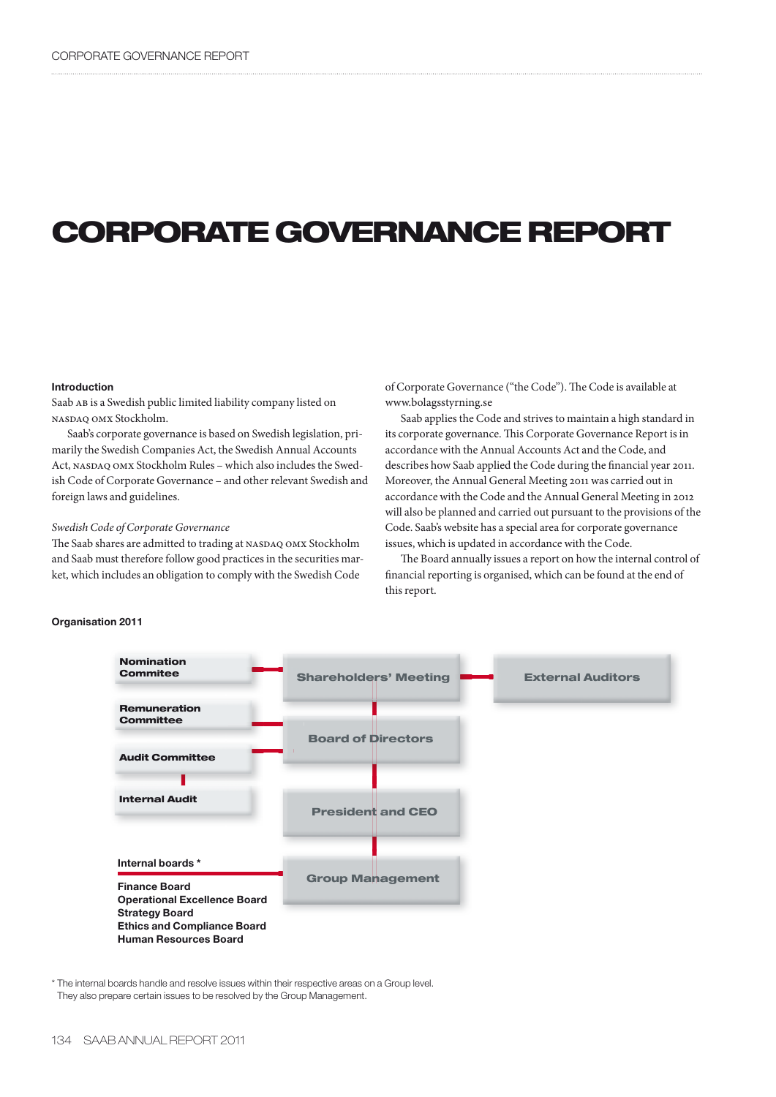# **CORPORATE GOVERNANCE REPORT**

#### **Introduction**

Saab AB is a Swedish public limited liability company listed on nasdaq omx Stockholm.

Saab's corporate governance is based on Swedish legislation, primarily the Swedish Companies Act, the Swedish Annual Accounts Act, NASDAQ OMX Stockholm Rules - which also includes the Swedish Code of Corporate Governance – and other relevant Swedish and foreign laws and guidelines.

# *Swedish Code of Corporate Governance*

The Saab shares are admitted to trading at NASDAQ OMX Stockholm and Saab must therefore follow good practices in the securities market, which includes an obligation to comply with the Swedish Code

of Corporate Governance ("the Code"). The Code is available at www.bolagsstyrning.se

Saab applies the Code and strives to maintain a high standard in its corporate governance. This Corporate Governance Report is in accordance with the Annual Accounts Act and the Code, and describes how Saab applied the Code during the financial year 2011. Moreover, the Annual General Meeting 2011 was carried out in accordance with the Code and the Annual General Meeting in 2012 will also be planned and carried out pursuant to the provisions of the Code. Saab's website has a special area for corporate governance issues, which is updated in accordance with the Code.

The Board annually issues a report on how the internal control of financial reporting is organised, which can be found at the end of this report.



\* The internal boards handle and resolve issues within their respective areas on a Group level. They also prepare certain issues to be resolved by the Group Management.

# **Organisation 2011**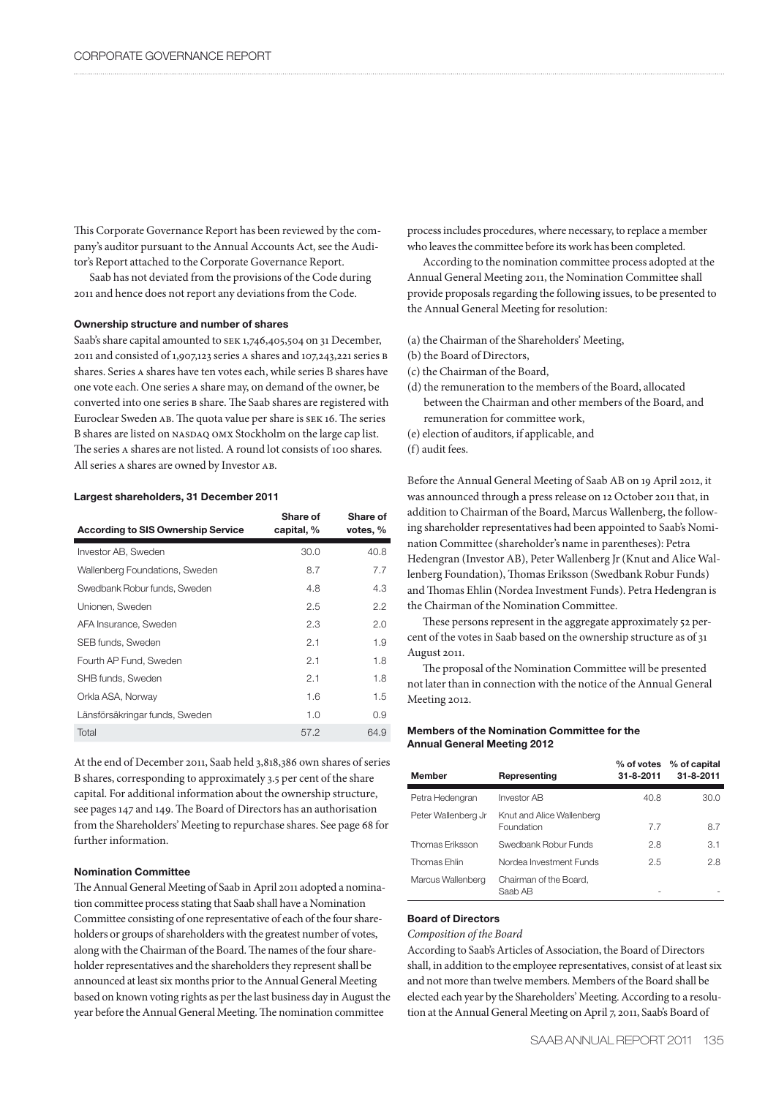This Corporate Governance Report has been reviewed by the company's auditor pursuant to the Annual Accounts Act, see the Auditor's Report attached to the Corporate Governance Report.

Saab has not deviated from the provisions of the Code during 2011 and hence does not report any deviations from the Code.

# **Ownership structure and number of shares**

Saab's share capital amounted to SEK 1,746,405,504 on 31 December, 2011 and consisted of 1,907,123 series a shares and 107,243,221 series b shares. Series a shares have ten votes each, while series B shares have one vote each. One series a share may, on demand of the owner, be converted into one series b share. The Saab shares are registered with Euroclear Sweden ab. The quota value per share is sek 16. The series B shares are listed on NASDAQ OMX Stockholm on the large cap list. The series a shares are not listed. A round lot consists of 100 shares. All series a shares are owned by Investor ab.

#### **Largest shareholders, 31 December 2011**

| <b>According to SIS Ownership Service</b> | Share of<br>capital, % | Share of<br>votes, % |
|-------------------------------------------|------------------------|----------------------|
| Investor AB, Sweden                       | 30.0                   | 40.8                 |
| Wallenberg Foundations, Sweden            | 8.7                    | 7.7                  |
| Swedbank Robur funds, Sweden              | 4.8                    | 4.3                  |
| Unionen, Sweden                           | 2.5                    | 2.2                  |
| AFA Insurance, Sweden                     | 2.3                    | 2.0                  |
| SEB funds, Sweden                         | 2.1                    | 1.9                  |
| Fourth AP Fund. Sweden                    | 2.1                    | 1.8                  |
| SHB funds, Sweden                         | 2.1                    | 1.8                  |
| Orkla ASA, Norway                         | 1.6                    | 1.5                  |
| Länsförsäkringar funds, Sweden            | 1.0                    | 0.9                  |
| Total                                     | 57.2                   | 64.9                 |

At the end of December 2011, Saab held 3,818,386 own shares of series B shares, corresponding to approximately 3.5 per cent of the share capital. For additional information about the ownership structure, see pages 147 and 149. The Board of Directors has an authorisation from the Shareholders' Meeting to repurchase shares. See page 68 for further information.

# **Nomination Committee**

The Annual General Meeting of Saab in April 2011 adopted a nomination committee process stating that Saab shall have a Nomination Committee consisting of one representative of each of the four shareholders or groups of shareholders with the greatest number of votes, along with the Chairman of the Board. The names of the four shareholder representatives and the shareholders they represent shall be announced at least six months prior to the Annual General Meeting based on known voting rights as per the last business day in August the year before the Annual General Meeting. The nomination committee

process includes procedures, where necessary, to replace a member who leaves the committee before its work has been completed.

According to the nomination committee process adopted at the Annual General Meeting 2011, the Nomination Committee shall provide proposals regarding the following issues, to be presented to the Annual General Meeting for resolution:

(a) the Chairman of the Shareholders' Meeting,

- (b) the Board of Directors,
- (c) the Chairman of the Board,
- (d) the remuneration to the members of the Board, allocated between the Chairman and other members of the Board, and remuneration for committee work,
- (e) election of auditors, if applicable, and
- (f) audit fees.

Before the Annual General Meeting of Saab AB on 19 April 2012, it was announced through a press release on 12 October 2011 that, in addition to Chairman of the Board, Marcus Wallenberg, the following shareholder representatives had been appointed to Saab's Nomination Committee (shareholder's name in parentheses): Petra Hedengran (Investor AB), Peter Wallenberg Jr (Knut and Alice Wallenberg Foundation), Thomas Eriksson (Swedbank Robur Funds) and Thomas Ehlin (Nordea Investment Funds). Petra Hedengran is the Chairman of the Nomination Committee.

These persons represent in the aggregate approximately 52 percent of the votes in Saab based on the ownership structure as of 31 August 2011.

The proposal of the Nomination Committee will be presented not later than in connection with the notice of the Annual General Meeting 2012.

# **Members of the Nomination Committee for the Annual General Meeting 2012**

| <b>Member</b>       | Representing                            | $\%$ of votes<br>$31 - 8 - 2011$ | % of capital<br>$31 - 8 - 2011$ |
|---------------------|-----------------------------------------|----------------------------------|---------------------------------|
| Petra Hedengran     | <b>Investor AB</b>                      | 40.8                             | 30.0                            |
| Peter Wallenberg Jr | Knut and Alice Wallenberg<br>Foundation | 77                               | 8.7                             |
| Thomas Eriksson     | Swedbank Robur Funds                    | 2.8                              | 3.1                             |
| Thomas Ehlin        | Nordea Investment Funds                 | 2.5                              | 2.8                             |
| Marcus Wallenberg   | Chairman of the Board.<br>Saab AB       |                                  |                                 |

# **Board of Directors**

# *Composition of the Board*

According to Saab's Articles of Association, the Board of Directors shall, in addition to the employee representatives, consist of at least six and not more than twelve members. Members of the Board shall be elected each year by the Shareholders' Meeting. According to a resolution at the Annual General Meeting on April 7, 2011, Saab's Board of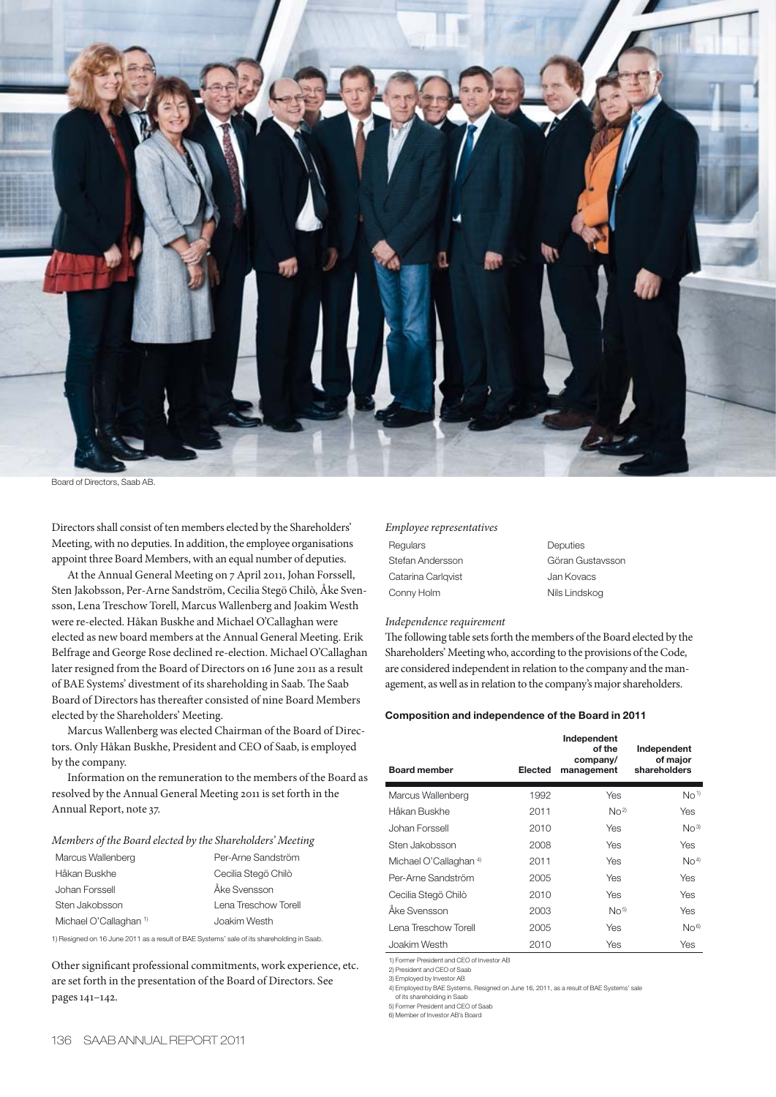

Board of Directors, Saab AB.

Directors shall consist of ten members elected by the Shareholders' Meeting, with no deputies. In addition, the employee organisations appoint three Board Members, with an equal number of deputies.

At the Annual General Meeting on 7 April 2011, Johan Forssell, Sten Jakobsson, Per-Arne Sandström, Cecilia Stegö Chilò, Åke Svensson, Lena Treschow Torell, Marcus Wallenberg and Joakim Westh were re-elected. Håkan Buskhe and Michael O'Callaghan were elected as new board members at the Annual General Meeting. Erik Belfrage and George Rose declined re-election. Michael O'Callaghan later resigned from the Board of Directors on 16 June 2011 as a result of BAE Systems' divestment of its shareholding in Saab. The Saab Board of Directors has thereafter consisted of nine Board Members elected by the Shareholders' Meeting.

Marcus Wallenberg was elected Chairman of the Board of Directors. Only Håkan Buskhe, President and CEO of Saab, is employed by the company.

Information on the remuneration to the members of the Board as resolved by the Annual General Meeting 2011 is set forth in the Annual Report, note 37.

# *Members of the Board elected by the Shareholders' Meeting*

| Marcus Wallenberg                 | Per-Arne Sandström   |
|-----------------------------------|----------------------|
| Håkan Buskhe                      | Cecilia Stegö Chilò  |
| Johan Forssell                    | Åke Svensson         |
| Sten Jakobsson                    | Lena Treschow Torell |
| Michael O'Callaghan <sup>1)</sup> | Joakim Westh         |

1) Resigned on 16 June 2011 as a result of BAE Systems' sale of its shareholding in Saab.

Other significant professional commitments, work experience, etc. are set forth in the presentation of the Board of Directors. See pages 141–142.

# *Employee representatives*

Regulars Deputies Stefan Andersson Göran Gustavsson Catarina Carlqvist **Jan Kovacs** Conny Holm Nils Lindskog

*Independence requirement*

The following table sets forth the members of the Board elected by the Shareholders' Meeting who, according to the provisions of the Code, are considered independent in relation to the company and the management, as well as in relation to the company's major shareholders.

#### **Composition and independence of the Board in 2011**

| <b>Board member</b>               | Elected | Independent<br>of the<br>company/<br>management | Independent<br>of major<br>shareholders |
|-----------------------------------|---------|-------------------------------------------------|-----------------------------------------|
| Marcus Wallenberg                 | 1992    | Yes                                             | No <sup>1</sup>                         |
| Håkan Buskhe                      | 2011    | No <sup>2</sup>                                 | <b>Yes</b>                              |
| Johan Forssell                    | 2010    | Yes                                             | No <sup>3</sup>                         |
| Sten Jakobsson                    | 2008    | Yes                                             | <b>Yes</b>                              |
| Michael O'Callaghan <sup>4)</sup> | 2011    | Yes                                             | No <sup>4</sup>                         |
| Per-Arne Sandström                | 2005    | Yes                                             | Yes                                     |
| Cecilia Stegö Chilò               | 2010    | Yes                                             | Yes                                     |
| Åke Svensson                      | 2003    | No <sub>5</sub>                                 | <b>Yes</b>                              |
| Lena Treschow Torell              | 2005    | Yes                                             | No <sup>6</sup>                         |
| Joakim Westh                      | 2010    | Yes                                             | Yes                                     |

1) Former President and CEO of Investor AB 2) President and CEO of Saab

3) Employed by Investor AB

4) Employed by BAE Systems. Resigned on June 16, 2011, as a result of BAE Systems' sale

of its shareholding in Saab 5) Former President and CEO of Saab

6) Member of Investor AB's Board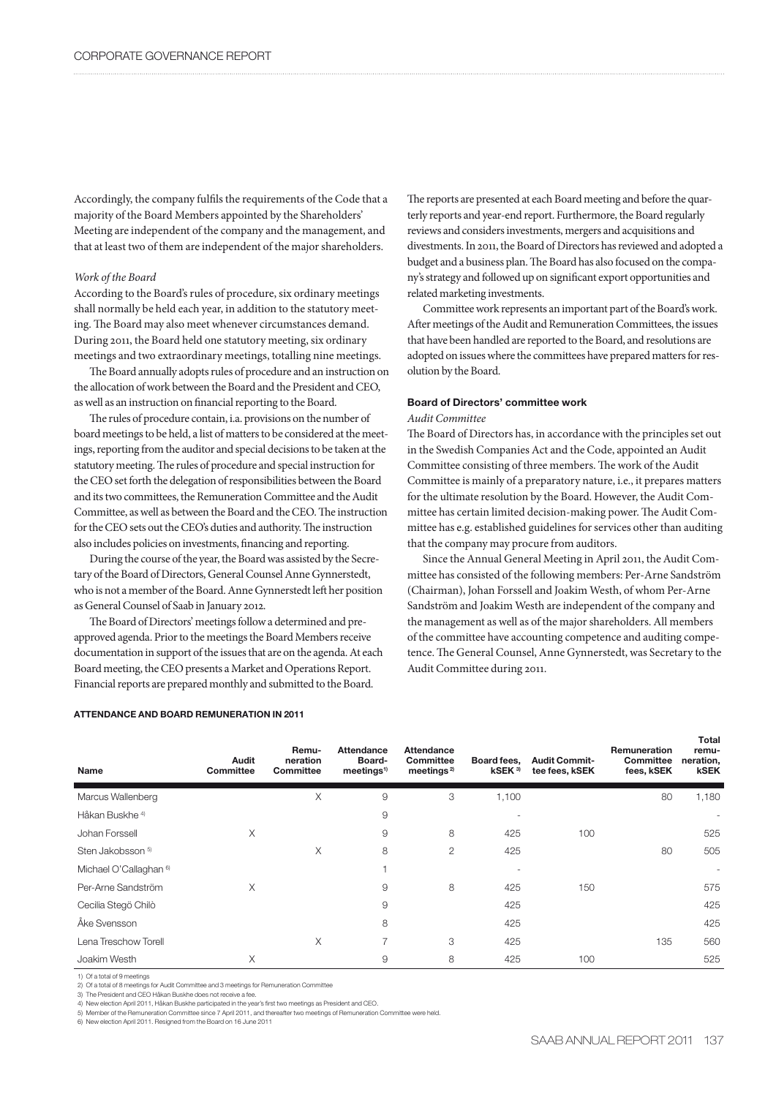Accordingly, the company fulfils the requirements of the Code that a majority of the Board Members appointed by the Shareholders' Meeting are independent of the company and the management, and that at least two of them are independent of the major shareholders.

# *Work of the Board*

According to the Board's rules of procedure, six ordinary meetings shall normally be held each year, in addition to the statutory meeting. The Board may also meet whenever circumstances demand. During 2011, the Board held one statutory meeting, six ordinary meetings and two extraordinary meetings, totalling nine meetings.

The Board annually adopts rules of procedure and an instruction on the allocation of work between the Board and the President and CEO, as well as an instruction on financial reporting to the Board.

The rules of procedure contain, i.a. provisions on the number of board meetings to be held, a list of matters to be considered at the meetings, reporting from the auditor and special decisions to be taken at the statutory meeting. The rules of procedure and special instruction for the CEO set forth the delegation of responsibilities between the Board and its two committees, the Remuneration Committee and the Audit Committee, as well as between the Board and the CEO. The instruction for the CEO sets out the CEO's duties and authority. The instruction also includes policies on investments, financing and reporting.

During the course of the year, the Board was assisted by the Secretary of the Board of Directors, General Counsel Anne Gynnerstedt, who is not a member of the Board. Anne Gynnerstedt left her position as General Counsel of Saab in January 2012.

The Board of Directors' meetings follow a determined and preapproved agenda. Prior to the meetings the Board Members receive documentation in support of the issues that are on the agenda. At each Board meeting, the CEO presents a Market and Operations Report. Financial reports are prepared monthly and submitted to the Board.

# **ATTENDANCE AND BOARD REMUNERATION IN 2011**

The reports are presented at each Board meeting and before the quarterly reports and year-end report. Furthermore, the Board regularly reviews and considers investments, mergers and acquisitions and divestments. In 2011, the Board of Directors has reviewed and adopted a budget and a business plan. The Board has also focused on the company's strategy and followed up on significant export opportunities and related marketing investments.

Committee work represents an important part of the Board's work. After meetings of the Audit and Remuneration Committees, the issues that have been handled are reported to the Board, and resolutions are adopted on issues where the committees have prepared matters for resolution by the Board.

# **Board of Directors' committee work**

# *Audit Committee*

The Board of Directors has, in accordance with the principles set out in the Swedish Companies Act and the Code, appointed an Audit Committee consisting of three members. The work of the Audit Committee is mainly of a preparatory nature, i.e., it prepares matters for the ultimate resolution by the Board. However, the Audit Committee has certain limited decision-making power. The Audit Committee has e.g. established guidelines for services other than auditing that the company may procure from auditors.

Since the Annual General Meeting in April 2011, the Audit Committee has consisted of the following members: Per-Arne Sandström (Chairman), Johan Forssell and Joakim Westh, of whom Per-Arne Sandström and Joakim Westh are independent of the company and the management as well as of the major shareholders. All members of the committee have accounting competence and auditing competence. The General Counsel, Anne Gynnerstedt, was Secretary to the Audit Committee during 2011.

| Name                              | Audit<br><b>Committee</b> | Remu-<br>neration<br>Committee | <b>Attendance</b><br>Board-<br>meetings <sup>1</sup> | <b>Attendance</b><br>Committee<br>meetings <sup>2)</sup> | Board fees,<br>kSEK <sup>3</sup> | <b>Audit Commit-</b><br>tee fees, kSEK | Remuneration<br>Committee<br>fees, kSEK | remu-<br>neration,<br><b>kSEK</b> |
|-----------------------------------|---------------------------|--------------------------------|------------------------------------------------------|----------------------------------------------------------|----------------------------------|----------------------------------------|-----------------------------------------|-----------------------------------|
| Marcus Wallenberg                 |                           | Χ                              | 9                                                    | 3                                                        | 1,100                            |                                        | 80                                      | 1,180                             |
| Håkan Buskhe <sup>4)</sup>        |                           |                                | 9                                                    |                                                          |                                  |                                        |                                         |                                   |
| Johan Forssell                    | X                         |                                | 9                                                    | 8                                                        | 425                              | 100                                    |                                         | 525                               |
| Sten Jakobsson <sup>5)</sup>      |                           | X                              | 8                                                    | 2                                                        | 425                              |                                        | 80                                      | 505                               |
| Michael O'Callaghan <sup>6)</sup> |                           |                                |                                                      |                                                          |                                  |                                        |                                         |                                   |
| Per-Arne Sandström                | X                         |                                | 9                                                    | 8                                                        | 425                              | 150                                    |                                         | 575                               |
| Cecilia Stegö Chilò               |                           |                                | 9                                                    |                                                          | 425                              |                                        |                                         | 425                               |
| Åke Svensson                      |                           |                                | 8                                                    |                                                          | 425                              |                                        |                                         | 425                               |
| Lena Treschow Torell              |                           | $\times$                       | 7                                                    | 3                                                        | 425                              |                                        | 135                                     | 560                               |
| Joakim Westh                      | X                         |                                | 9                                                    | 8                                                        | 425                              | 100                                    |                                         | 525                               |

1) Of a total of 9 meetings 2) Of a total of 8 meetings for Audit Committee and 3 meetings for Remuneration Committee

3) The President and CEO Håkan Buskhe does not receive a fee.

4) New election April 2011, Håkan Buskhe participated in the year's first two meetings as President and CEO.

5) Member of the Remuneration Committee since 7 April 2011, and thereafter two meetings of Remuneration Committee were held.

6) New election April 2011. Resigned from the Board on 16 June 2011

**Total**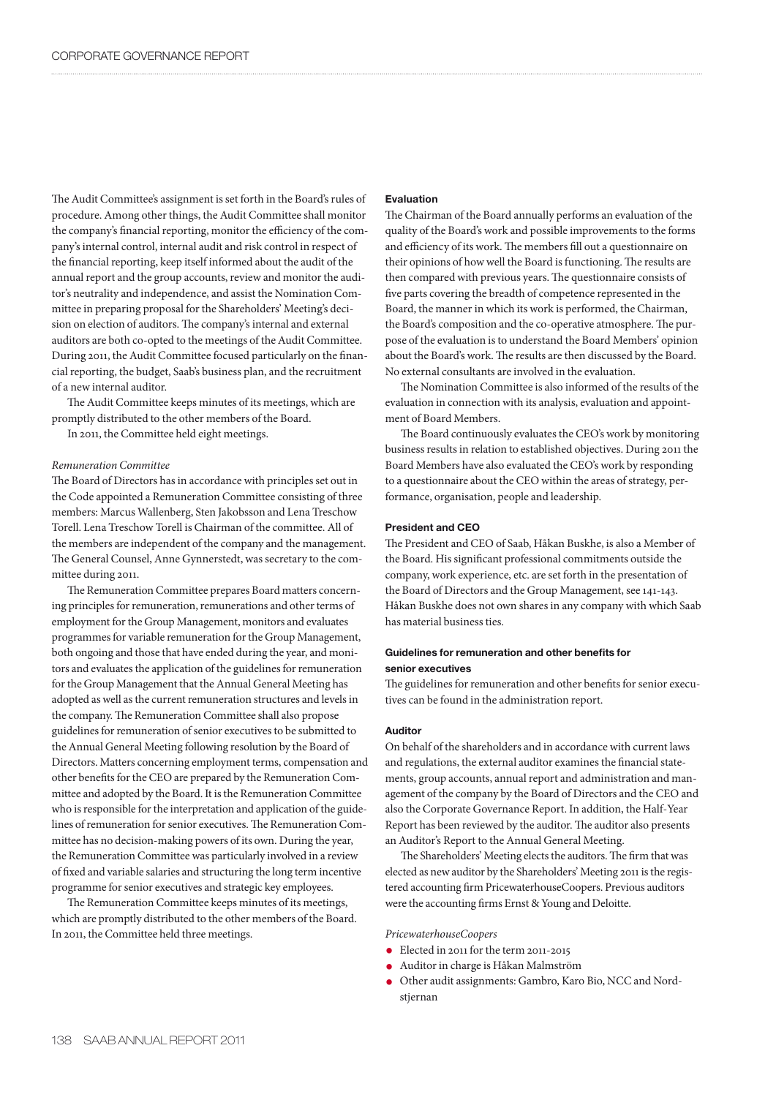The Audit Committee's assignment is set forth in the Board's rules of procedure. Among other things, the Audit Committee shall monitor the company's financial reporting, monitor the efficiency of the company's internal control, internal audit and risk control in respect of the financial reporting, keep itself informed about the audit of the annual report and the group accounts, review and monitor the auditor's neutrality and independence, and assist the Nomination Committee in preparing proposal for the Shareholders' Meeting's decision on election of auditors. The company's internal and external auditors are both co-opted to the meetings of the Audit Committee. During 2011, the Audit Committee focused particularly on the financial reporting, the budget, Saab's business plan, and the recruitment of a new internal auditor.

The Audit Committee keeps minutes of its meetings, which are promptly distributed to the other members of the Board.

In 2011, the Committee held eight meetings.

# *Remuneration Committee*

The Board of Directors has in accordance with principles set out in the Code appointed a Remuneration Committee consisting of three members: Marcus Wallenberg, Sten Jakobsson and Lena Treschow Torell. Lena Treschow Torell is Chairman of the committee. All of the members are independent of the company and the management. The General Counsel, Anne Gynnerstedt, was secretary to the committee during 2011.

The Remuneration Committee prepares Board matters concerning principles for remuneration, remunerations and other terms of employment for the Group Management, monitors and evaluates programmes for variable remuneration for the Group Management, both ongoing and those that have ended during the year, and monitors and evaluates the application of the guidelines for remuneration for the Group Management that the Annual General Meeting has adopted as well as the current remuneration structures and levels in the company. The Remuneration Committee shall also propose guidelines for remuneration of senior executives to be submitted to the Annual General Meeting following resolution by the Board of Directors. Matters concerning employment terms, compensation and other benefits for the CEO are prepared by the Remuneration Committee and adopted by the Board. It is the Remuneration Committee who is responsible for the interpretation and application of the guidelines of remuneration for senior executives. The Remuneration Committee has no decision-making powers of its own. During the year, the Remuneration Committee was particularly involved in a review of fixed and variable salaries and structuring the long term incentive programme for senior executives and strategic key employees.

The Remuneration Committee keeps minutes of its meetings, which are promptly distributed to the other members of the Board. In 2011, the Committee held three meetings.

# **Evaluation**

The Chairman of the Board annually performs an evaluation of the quality of the Board's work and possible improvements to the forms and efficiency of its work. The members fill out a questionnaire on their opinions of how well the Board is functioning. The results are then compared with previous years. The questionnaire consists of five parts covering the breadth of competence represented in the Board, the manner in which its work is performed, the Chairman, the Board's composition and the co-operative atmosphere. The purpose of the evaluation is to understand the Board Members' opinion about the Board's work. The results are then discussed by the Board. No external consultants are involved in the evaluation.

The Nomination Committee is also informed of the results of the evaluation in connection with its analysis, evaluation and appointment of Board Members.

The Board continuously evaluates the CEO's work by monitoring business results in relation to established objectives. During 2011 the Board Members have also evaluated the CEO's work by responding to a questionnaire about the CEO within the areas of strategy, performance, organisation, people and leadership.

# **President and CEO**

The President and CEO of Saab, Håkan Buskhe, is also a Member of the Board. His significant professional commitments outside the company, work experience, etc. are set forth in the presentation of the Board of Directors and the Group Management, see 141-143. Håkan Buskhe does not own shares in any company with which Saab has material business ties.

# **Guidelines for remuneration and other benefits for senior executives**

The guidelines for remuneration and other benefits for senior executives can be found in the administration report.

# **Auditor**

On behalf of the shareholders and in accordance with current laws and regulations, the external auditor examines the financial statements, group accounts, annual report and administration and management of the company by the Board of Directors and the CEO and also the Corporate Governance Report. In addition, the Half-Year Report has been reviewed by the auditor. The auditor also presents an Auditor's Report to the Annual General Meeting.

The Shareholders' Meeting elects the auditors. The firm that was elected as new auditor by the Shareholders' Meeting 2011 is the registered accounting firm PricewaterhouseCoopers. Previous auditors were the accounting firms Ernst & Young and Deloitte.

*PricewaterhouseCoopers*

- Elected in 2011 for the term 2011-2015
- **•** Auditor in charge is Håkan Malmström
- $\bullet$  Other audit assignments: Gambro, Karo Bio, NCC and Nordstjernan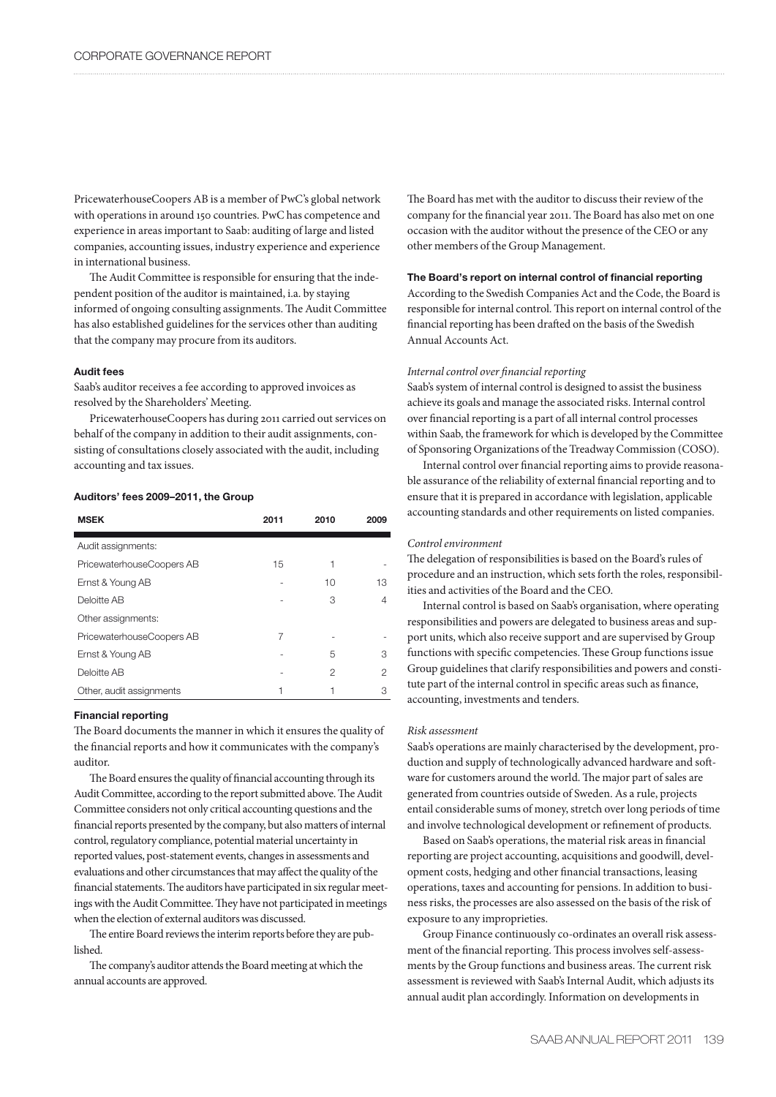PricewaterhouseCoopers AB is a member of PwC's global network with operations in around 150 countries. PwC has competence and experience in areas important to Saab: auditing of large and listed companies, accounting issues, industry experience and experience in international business.

The Audit Committee is responsible for ensuring that the independent position of the auditor is maintained, i.a. by staying informed of ongoing consulting assignments. The Audit Committee has also established guidelines for the services other than auditing that the company may procure from its auditors.

# **Audit fees**

Saab's auditor receives a fee according to approved invoices as resolved by the Shareholders' Meeting.

PricewaterhouseCoopers has during 2011 carried out services on behalf of the company in addition to their audit assignments, consisting of consultations closely associated with the audit, including accounting and tax issues.

### **Auditors' fees 2009–2011, the Group**

| <b>MSEK</b>               | 2011 | 2010 | 2009 |
|---------------------------|------|------|------|
| Audit assignments:        |      |      |      |
| PricewaterhouseCoopers AB | 15   | 1    |      |
| Ernst & Young AB          |      | 10   | 13   |
| Deloitte AB               |      | 3    | 4    |
| Other assignments:        |      |      |      |
| PricewaterhouseCoopers AB | 7    |      |      |
| Ernst & Young AB          |      | 5    | З    |
| Deloitte AB               |      | 2    | 2    |
| Other, audit assignments  | 1    | 1    | З    |

#### **Financial reporting**

The Board documents the manner in which it ensures the quality of the financial reports and how it communicates with the company's auditor.

The Board ensures the quality of financial accounting through its Audit Committee, according to the report submitted above. The Audit Committee considers not only critical accounting questions and the financial reports presented by the company, but also matters of internal control, regulatory compliance, potential material uncertainty in reported values, post-statement events, changes in assessments and evaluations and other circumstances that may affect the quality of the financial statements. The auditors have participated in six regular meetings with the Audit Committee. They have not participated in meetings when the election of external auditors was discussed.

The entire Board reviews the interim reports before they are published.

The company's auditor attends the Board meeting at which the annual accounts are approved.

The Board has met with the auditor to discuss their review of the company for the financial year 2011. The Board has also met on one occasion with the auditor without the presence of the CEO or any other members of the Group Management.

# **The Board's report on internal control of financial reporting**

According to the Swedish Companies Act and the Code, the Board is responsible for internal control. This report on internal control of the financial reporting has been drafted on the basis of the Swedish Annual Accounts Act.

### *Internal control over financial reporting*

Saab's system of internal control is designed to assist the business achieve its goals and manage the associated risks. Internal control over financial reporting is a part of all internal control processes within Saab, the framework for which is developed by the Committee of Sponsoring Organizations of the Treadway Commission (COSO).

Internal control over financial reporting aims to provide reasonable assurance of the reliability of external financial reporting and to ensure that it is prepared in accordance with legislation, applicable accounting standards and other requirements on listed companies.

#### *Control environment*

The delegation of responsibilities is based on the Board's rules of procedure and an instruction, which sets forth the roles, responsibilities and activities of the Board and the CEO.

Internal control is based on Saab's organisation, where operating responsibilities and powers are delegated to business areas and support units, which also receive support and are supervised by Group functions with specific competencies. These Group functions issue Group guidelines that clarify responsibilities and powers and constitute part of the internal control in specific areas such as finance, accounting, investments and tenders.

# *Risk assessment*

Saab's operations are mainly characterised by the development, production and supply of technologically advanced hardware and software for customers around the world. The major part of sales are generated from countries outside of Sweden. As a rule, projects entail considerable sums of money, stretch over long periods of time and involve technological development or refinement of products.

Based on Saab's operations, the material risk areas in financial reporting are project accounting, acquisitions and goodwill, development costs, hedging and other financial transactions, leasing operations, taxes and accounting for pensions. In addition to business risks, the processes are also assessed on the basis of the risk of exposure to any improprieties.

Group Finance continuously co-ordinates an overall risk assessment of the financial reporting. This process involves self-assessments by the Group functions and business areas. The current risk assessment is reviewed with Saab's Internal Audit, which adjusts its annual audit plan accordingly. Information on developments in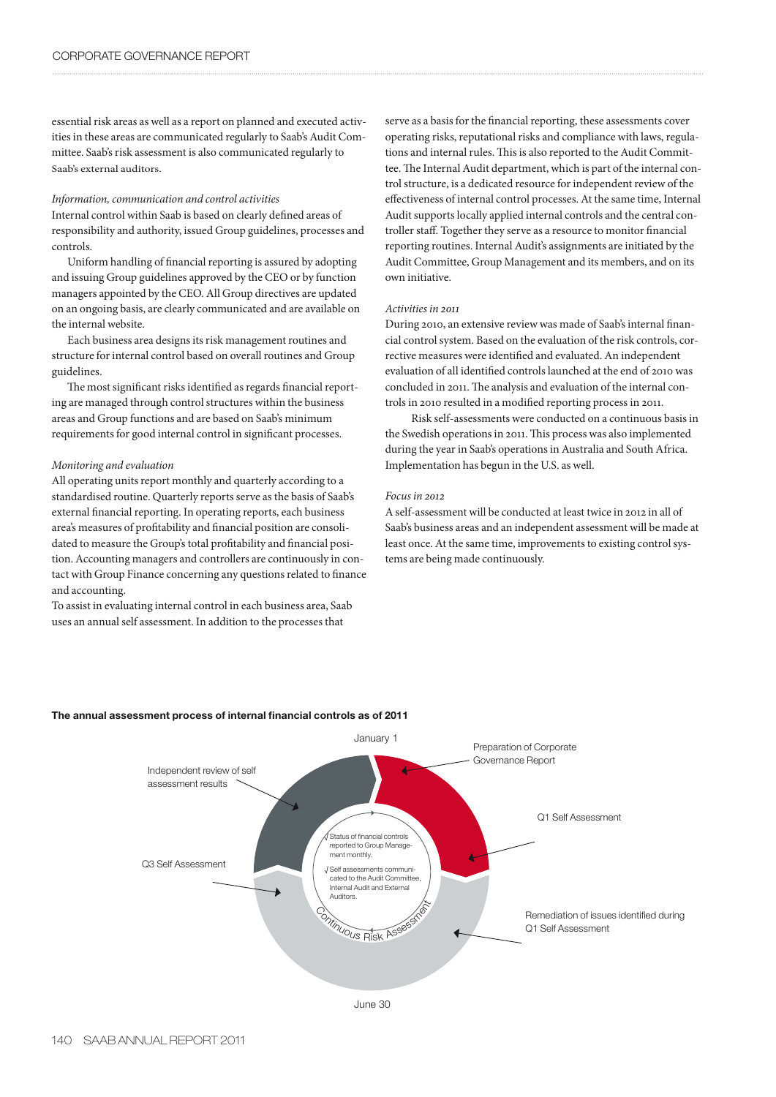essential risk areas as well as a report on planned and executed activities in these areas are communicated regularly to Saab's Audit Committee. Saab's risk assessment is also communicated regularly to Saab's external auditors.

# *Information, communication and control activities*

Internal control within Saab is based on clearly defined areas of responsibility and authority, issued Group guidelines, processes and controls.

Uniform handling of financial reporting is assured by adopting and issuing Group guidelines approved by the CEO or by function managers appointed by the CEO. All Group directives are updated on an ongoing basis, are clearly communicated and are available on the internal website.

Each business area designs its risk management routines and structure for internal control based on overall routines and Group guidelines.

The most significant risks identified as regards financial reporting are managed through control structures within the business areas and Group functions and are based on Saab's minimum requirements for good internal control in significant processes.

# *Monitoring and evaluation*

All operating units report monthly and quarterly according to a standardised routine. Quarterly reports serve as the basis of Saab's external financial reporting. In operating reports, each business area's measures of profitability and financial position are consolidated to measure the Group's total profitability and financial position. Accounting managers and controllers are continuously in contact with Group Finance concerning any questions related to finance and accounting.

To assist in evaluating internal control in each business area, Saab uses an annual self assessment. In addition to the processes that

serve as a basis for the financial reporting, these assessments cover operating risks, reputational risks and compliance with laws, regulations and internal rules. This is also reported to the Audit Committee. The Internal Audit department, which is part of the internal control structure, is a dedicated resource for independent review of the effectiveness of internal control processes. At the same time, Internal Audit supports locally applied internal controls and the central controller staff. Together they serve as a resource to monitor financial reporting routines. Internal Audit's assignments are initiated by the Audit Committee, Group Management and its members, and on its own initiative.

# *Activities in 2011*

During 2010, an extensive review was made of Saab's internal financial control system. Based on the evaluation of the risk controls, corrective measures were identified and evaluated. An independent evaluation of all identified controls launched at the end of 2010 was concluded in 2011. The analysis and evaluation of the internal controls in 2010 resulted in a modified reporting process in 2011.

 Risk self-assessments were conducted on a continuous basis in the Swedish operations in 2011. This process was also implemented during the year in Saab's operations in Australia and South Africa. Implementation has begun in the U.S. as well.

### *Focus in 2012*

A self-assessment will be conducted at least twice in 2012 in all of Saab's business areas and an independent assessment will be made at least once. At the same time, improvements to existing control systems are being made continuously.



# **The annual assessment process of internal financial controls as of 2011**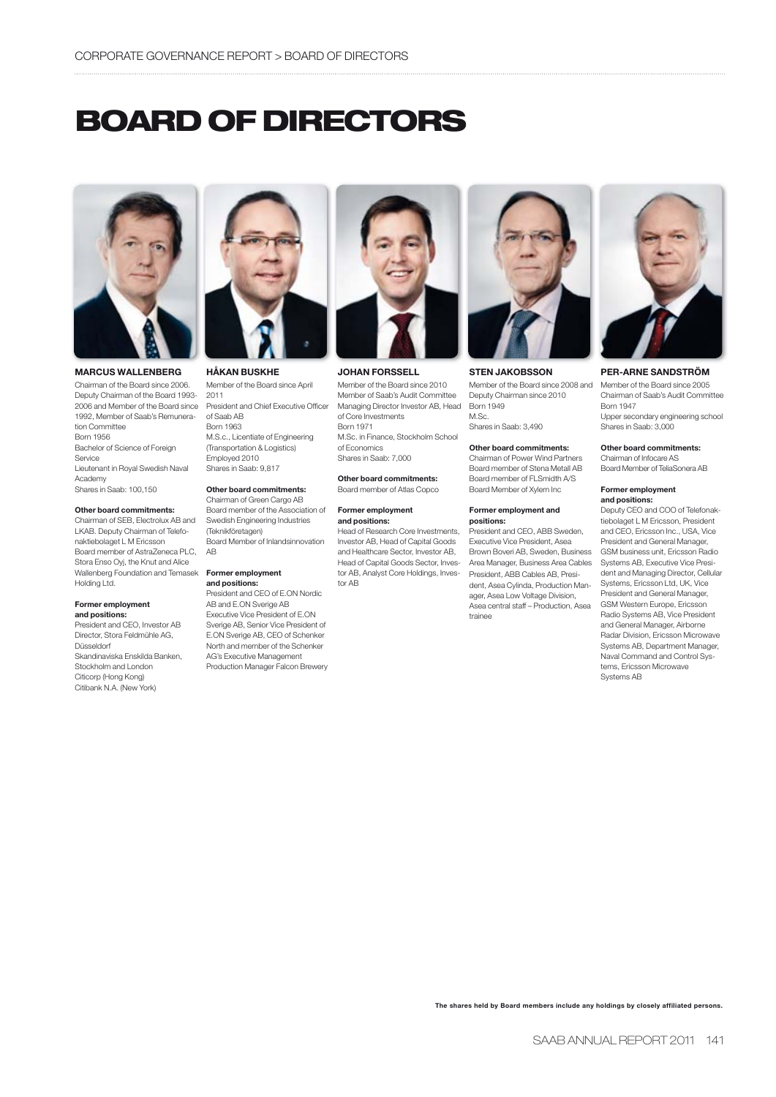# **BOARD OF DIRECTORS**



# **MARCUS WALLENBERG**

Chairman of the Board since 2006. Deputy Chairman of the Board 1993- 2006 and Member of the Board since 1992, Member of Saab's Remuneration Committee Born 1956 Bachelor of Science of Foreign Service Lieutenant in Royal Swedish Naval Academy Shares in Saab: 100,150

#### **Other board commitments:**

Chairman of SEB, Electrolux AB and LKAB. Deputy Chairman of Telefonaktiebolaget L M Ericsson Board member of AstraZeneca PLC, Stora Enso Oyj, the Knut and Alice Wallenberg Foundation and Temasek Holding Ltd.

#### **Former employment and positions:**

President and CEO, Investor AB Director, Stora Feldmühle AG, Düsseldorf Skandinaviska Enskilda Banken, Stockholm and London Citicorp (Hong Kong) Citibank N.A. (New York)



**HÅKAN BUSKHE**

Member of the Board since April 2011 President and Chief Executive Officer of Saab AB Born 1963 M.S.c., Licentiate of Engineering (Transportation & Logistics) Employed 2010

# **Other board commitments:**

Shares in Saab: 9,817

Chairman of Green Cargo AB Board member of the Association of Swedish Engineering Industries (Teknikföretagen) Board Member of Inlandsinnovation AB

#### **Former employment and positions:**

President and CEO of E.ON Nordic AB and E.ON Sverige AB Executive Vice President of E.ON Sverige AB, Senior Vice President of E.ON Sverige AB, CEO of Schenker North and member of the Schenker AG's Executive Management Production Manager Falcon Brewery



# **JOHAN FORSSELL**

Member of the Board since 2010 Member of Saab's Audit Committee Managing Director Investor AB, Head of Core Investments Born 1971 M.Sc. in Finance, Stockholm School of Economics Shares in Saab: 7,000

**Other board commitments:** Board member of Atlas Copco

#### **Former employment and positions:**

Head of Research Core Investments, Investor AB, Head of Capital Goods and Healthcare Sector, Investor AB, Head of Capital Goods Sector, Investor AB, Analyst Core Holdings, Investor AB



**STEN JAKOBSSON**

Member of the Board since 2008 and Deputy Chairman since 2010 Born 1949 M.Sc.

Shares in Saab: 3,490

**Other board commitments:** Chairman of Power Wind Partners Board member of Stena Metall AB Board member of FLSmidth A/S Board Member of Xylem Inc

#### **Former employment and positions:**

President and CEO, ABB Sweden, Executive Vice President, Asea Brown Boveri AB, Sweden, Business Area Manager, Business Area Cables President, ABB Cables AB, President, Asea Cylinda, Production Manager, Asea Low Voltage Division, Asea central staff – Production, Asea trainee



#### **PER-ARNE SANDSTRÖM**

Member of the Board since 2005 Chairman of Saab's Audit Committee Born 1947 Upper secondary engineering school Shares in Saab: 3,000

#### **Other board commitments:**

Chairman of Infocare AS Board Member of TeliaSonera AB

#### **Former employment and positions:**

Deputy CEO and COO of Telefonaktiebolaget L M Ericsson, President and CEO, Ericsson Inc., USA, Vice President and General Manager, GSM business unit, Ericsson Radio Systems AB, Executive Vice President and Managing Director, Cellular Systems, Fricsson Ltd, UK, Vice President and General Manager, GSM Western Europe, Ericsson Radio Systems AB, Vice President and General Manager, Airborne Radar Division, Ericsson Microwave Systems AB, Department Manager, Naval Command and Control Systems, Ericsson Microwave Systems AB

**The shares held by Board members include any holdings by closely affiliated persons.**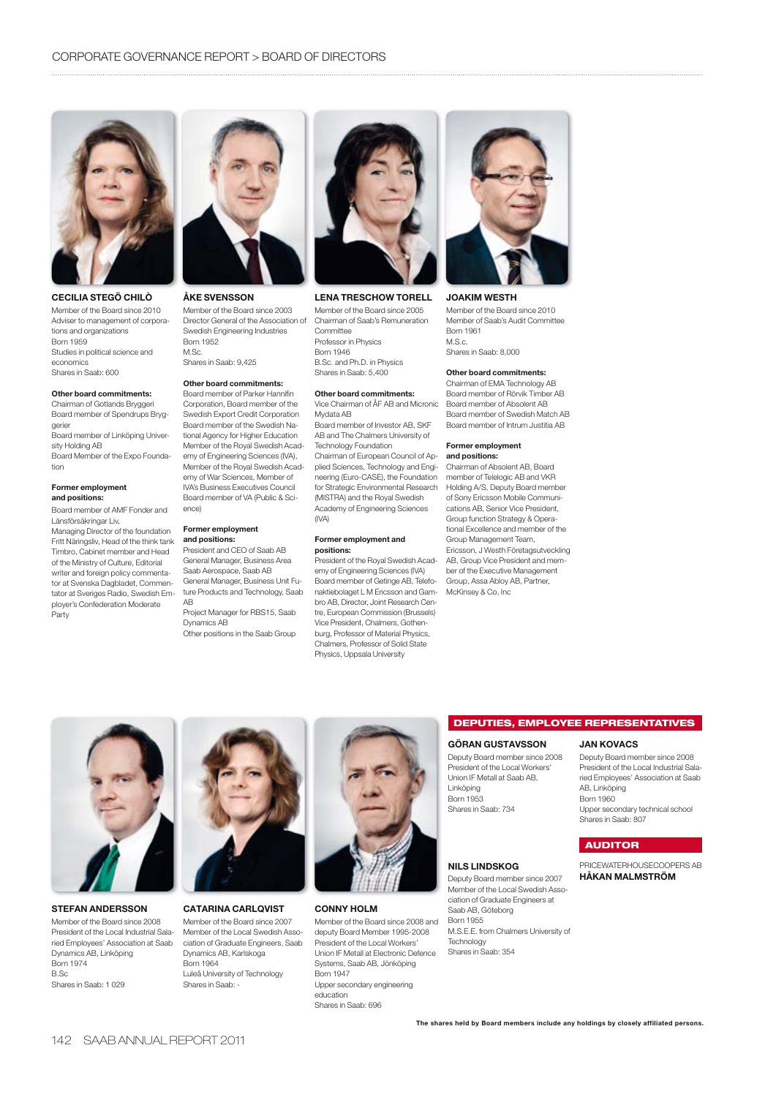

# **CECILIA STEGÖ CHILÒ**

Member of the Board since 2010 Adviser to management of corporations and organizations Born 1959 Studies in political science and economics Shares in Saab: 600

#### **Other board commitments:**

Chairman of Gotlands Bryggeri Board member of Spendrups Bryggerier Board member of Linköping University Holding AB

Board Member of the Expo Foundation

#### **Former employment and positions:**

Board member of AMF Fonder and Länsförsäkringar Liv,

Managing Director of the foundation Fritt Näringsliv, Head of the think tank Timbro, Cabinet member and Head of the Ministry of Culture, Editorial writer and foreign policy commentator at Svenska Dagbladet, Commentator at Sveriges Radio, Swedish Employer's Confederation Moderate Party



#### **ÅKE SVENSSON**

Member of the Board since 2003 Director General of the Association of Swedish Engineering Industries Born 1952 M.Sc. Shares in Saab: 9,425

#### **Other board commitments:**

Board member of Parker Hannifin Corporation, Board member of the Swedish Export Credit Corporation Board member of the Swedish National Agency for Higher Education Member of the Royal Swedish Academy of Engineering Sciences (IVA), Member of the Royal Swedish Academy of War Sciences, Member of IVA's Business Executives Council Board member of VA (Public & Science)

#### **Former employment and positions:**

President and CEO of Saab AB General Manager, Business Area Saab Aerospace, Saab AB General Manager, Business Unit Future Products and Technology, Saab AB

Project Manager for RBS15, Saab Dynamics AB Other positions in the Saab Group



### **LENA TRESCHOW TORELL**

Member of the Board since 2005 Chairman of Saab's Remuneration Committee Professor in Physics Born 1946 B.Sc. and Ph.D. in Physics Shares in Saab: 5,400

#### **Other board commitments:** Vice Chairman of ÅF AB and Micronic

Mydata AB Board member of Investor AB, SKF AB and The Chalmers University of Technology Foundation Chairman of European Council of Applied Sciences, Technology and Engineering (Euro-CASE), the Foundation for Strategic Environmental Research (MISTRA) and the Royal Swedish Academy of Engineering Sciences (IVA)

#### **Former employment and positions:**

President of the Royal Swedish Academy of Engineering Sciences (IVA) Board member of Getinge AB, Telefonaktiebolaget L M Ericsson and Gambro AB, Director, Joint Research Centre, European Commission (Brussels) Vice President, Chalmers, Gothenburg, Professor of Material Physics, Chalmers, Professor of Solid State Physics, Uppsala University



# **JOAKIM WESTH**

Member of the Board since 2010 Member of Saab's Audit Committee Born 1961 M.S.c. Shares in Saab: 8,000

#### **Other board commitments:**

Chairman of EMA Technology AB Board member of Rörvik Timber AB Board member of Absolent AB Board member of Swedish Match AB Board member of Intrum Justitia AB

#### **Former employment and positions:**

Chairman of Absolent AB, Board member of Telelogic AB and VKR Holding A/S, Deputy Board member of Sony Ericsson Mobile Communications AB, Senior Vice President, Group function Strategy & Operational Excellence and member of the Group Management Team, Ericsson, J Westh Företagsutveckling AB, Group Vice President and member of the Executive Management Group, Assa Abloy AB, Partner, McKinsey & Co, Inc

**STEFAN ANDERSSON** Member of the Board since 2008 President of the Local Industrial Salaried Employees' Association at Saab Dynamics AB, Linköping Born 1974 B.Sc Shares in Saab: 1 029



Member of the Board since 2007 Member of the Local Swedish Association of Graduate Engineers, Saab

Luleå University of Technology Shares in Saab: -

Born 1964

**CATARINA CARLQVIST** Dynamics AB, Karlskoga **CONNY HOLM**



Member of the Board since 2008 and deputy Board Member 1995-2008 President of the Local Workers' Union IF Metall at Electronic Defence Systems, Saab AB, Jönköping Born 1947 Upper secondary engineering education Shares in Saab: 696

#### **DEPUTIES, EMPLOYEE REPRESENTATIVES**

# **GÖRAN GUSTAVSSON**

Deputy Board member since 2008 President of the Local Workers' Union IF Metall at Saab AB, Linköping Born 1953 Shares in Saab: 734

#### **NILS LINDSKOG**

Deputy Board member since 2007 Member of the Local Swedish Association of Graduate Engineers at Saab AB, Göteborg Born 1955 M.S.E.E. from Chalmers University of Technology Shares in Saab: 354

# **JAN KOVACS**

Deputy Board member since 2008 President of the Local Industrial Salaried Employees' Association at Saab AB, Linköping Born 1960 Upper secondary technical school Shares in Saab: 807

# **AUDITOR**

PRICEWATERHOUSECOOPERS AB **HÅKAN MALMSTRÖM**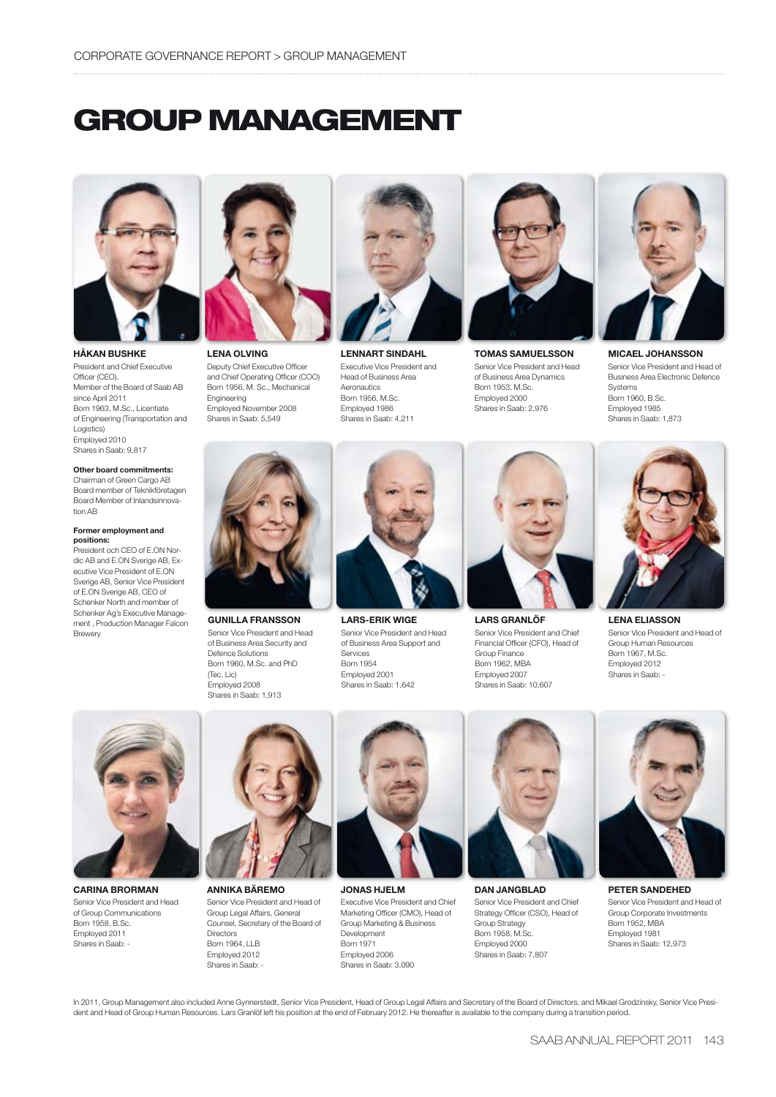# **GROUP MANAGEMENT**



**HÅKAN BUSHKE** President and Chief Executive Officer (CEO). Member of the Board of Saab AB since April 2011 Born 1963, M.Sc., Licentiate of Engineering (Transportation and Logistics) Employed 2010 Shares in Saab: 9,817

#### **Other board commitments:**

Chairman of Green Cargo AB Board member of Teknikföretagen Board Member of Inlandsinnovation AB

#### **Former employment and positions:**

President och CEO of E.ON Nordic AB and E.ON Sverige AB, Executive Vice President of E.ON Sverige AB, Senior Vice President of E.ON Sverige AB, CEO of Schenker North and member of Schenker Ag's Executive Management , Production Manager Falcon Brewery



**LENA OLVING** Deputy Chief Executive Officer and Chief Operating Officer (COO) Born 1956, M. Sc., Mechanical Engineering Employed November 2008 Shares in Saab: 5,549



**GUNILLA FRANSSON** Senior Vice President and Head of Business Area Security and

Defence Solutions Born 1960, M.Sc. and PhD (Tec. Lic) Employed 2008 Shares in Saab: 1,913



**LENNART SINDAHL** Executive Vice President and Head of Business Area Aeronautics Born 1956, M.Sc. Employed 1986 Shares in Saab: 4,211



**TOMAS SAMUELSSON** Senior Vice President and Head of Business Area Dynamics Born 1953, M.Sc. Employed 2000 Shares in Saab: 2,976



**MICAEL JOHANSSON** Senior Vice President and Head of Business Area Electronic Defence Systems Born 1960, B.Sc. Employed 1985 Shares in Saab: 1,873



**LARS GRANLÖF** Senior Vice President and Chief Financial Officer (CFO), Head of Group Finance Born 1962, MBA Employed 2007

Shares in Saab: 10,607



**LENA ELIASSON** Senior Vice President and Head of Group Human Resources Born 1967, M.Sc. Employed 2012 Shares in Saab: -



**CARINA BRORMAN** Senior Vice President and Head of Group Communications Born 1958, B.Sc. Employed 2011 Shares in Saab: -



**ANNIKA BÄREMO** Senior Vice President and Head of Group Legal Affairs, General Counsel, Secretary of the Board of **Directors** Born 1964, LLB Employed 2012 Shares in Saab:



**LARS-ERIK WIGE** Senior Vice President and Head of Business Area Support and

Services Born 1954 Employed 2001 Shares in Saab: 1,642

**JONAS HJELM** Executive Vice President and Chief Marketing Officer (CMO), Head of Group Marketing & Business Development Born 1971 Employed 2006 Shares in Saab: 3,090



**DAN JANGBLAD** Senior Vice President and Chief Strategy Officer (CSO), Head of Group Strategy Born 1958, M.Sc. Employed 2000 Shares in Saab: 7,807



**PETER SANDEHED** Senior Vice President and Head of Group Corporate Investments Born 1952, MBA Employed 1981 Shares in Saab: 12,973

In 2011, Group Management also included Anne Gynnerstedt, Senior Vice President, Head of Group Legal Affairs and Secretary of the Board of Directors, and Mikael Grodzinsky, Senior Vice President and Head of Group Human Resources. Lars Granlöf left his position at the end of February 2012. He thereafter is available to the company during a transition period.